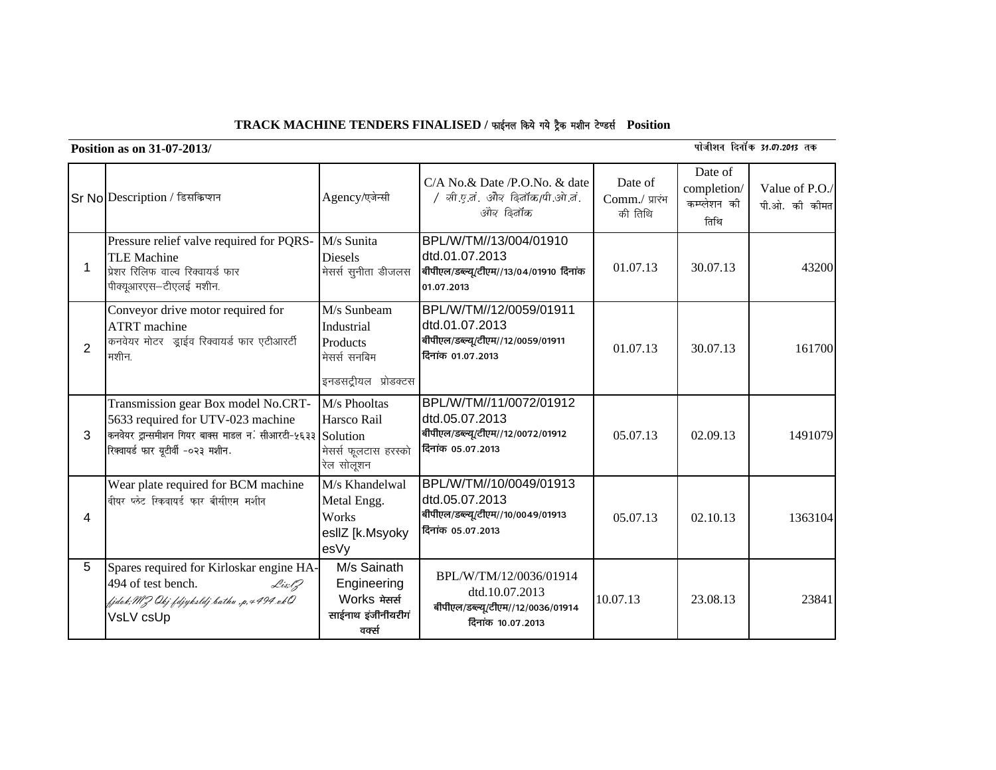## $TRACK MACHINE TENDERS FINALISED /$  फाईनल किये गये ट्रैक मशीन टेण्डर्स Position

**Position as on 31-07-2013/** 12-13 and 31-07-2013 and 31-07-2013 and 31-07-2013 and 31-07-2013 and 31-07-2013 and 31-07-2013 and 31-07-2013 and 31-07-2013 and 31-07-2013 and 31-07-2013 and 31-07-2013 and 31-07-2013 and 31

|   | Sr No Description / डिसकिप्शन                                                                                                                                                | Agency/एजेन्सी                                                                | C/A No.& Date /P.O.No. & date<br>/ ली.ए.तं. और ढ़ितॉक/पी.ओ.तं.<br>ओव ढिनॉक                           | Date of<br>Comm./ प्रारंभ<br>की तिथि | Date of<br>completion/<br>कम्प्लेशन की<br>तिथि | Value of P.O./<br>पी.ओ. की कीमत |
|---|------------------------------------------------------------------------------------------------------------------------------------------------------------------------------|-------------------------------------------------------------------------------|------------------------------------------------------------------------------------------------------|--------------------------------------|------------------------------------------------|---------------------------------|
| 1 | Pressure relief valve required for PQRS-<br><b>TLE Machine</b><br>प्रेशर रिलिफ वाल्व रिक्वायर्ड फार<br>पीक्यूआरएस-टीएलई मशीन.                                                | M/s Sunita<br><b>Diesels</b><br>मेसर्स सुनीता डीजलस                           | BPL/W/TM//13/004/01910<br>dtd.01.07.2013<br>बीपीएल/डब्ल्यू/टीएम//13/04/01910 दिनांक<br>01.07.2013    | 01.07.13                             | 30.07.13                                       | 43200                           |
| 2 | Conveyor drive motor required for<br><b>ATRT</b> machine<br>कनवेयर मोटर ड्राईव रिक्वायर्ड फार एटीआरटी<br>मशीन.                                                               | M/s Sunbeam<br>Industrial<br>Products<br>मेसर्स सनबिम<br>इनडसट्रीयल प्रोडक्टस | BPL/W/TM//12/0059/01911<br>dtd.01.07.2013<br>बीपीएल/डब्ल्यू/टीएम//12/0059/01911<br>दिनांक 01.07.2013 | 01.07.13                             | 30.07.13                                       | 161700                          |
| 3 | Transmission gear Box model No.CRT-<br>5633 required for UTV-023 machine<br>कनवेयर ट्रान्समीशन गियर बाक्स माडल न. सीआरटी-५६३३ Solution<br>रिक्वायर्ड फार यूटीर्वी -०२३ मशीन. | M/s Phooltas<br>Harsco Rail<br>मेसर्स फूलटास हरस्को<br>रेल सोलूशन             | BPL/W/TM//11/0072/01912<br>dtd.05.07.2013<br>बीपीएल/डब्ल्यू/टीएम//12/0072/01912<br>दिनांक 05.07.2013 | 05.07.13                             | 02.09.13                                       | 1491079                         |
| 4 | Wear plate required for BCM machine<br>वीयर प्लेट रिकवायर्ड फार बीसीएम मशीन                                                                                                  | M/s Khandelwal<br>Metal Engg.<br>Works<br>esllZ [k.Msyoky<br>esVy             | BPL/W/TM//10/0049/01913<br>dtd.05.07.2013<br>बीपीएल/डब्ल्यू/टीएम//10/0049/01913<br>दिनांक 05.07.2013 | 05.07.13                             | 02.10.13                                       | 1363104                         |
| 5 | Spares required for Kirloskar engine HA-<br>494 of test bench.<br>Lis;lZ<br>fjdek; MJ Okj fdjyksldj bathu ,p,4494 xk0<br>VsLV csUp                                           | M/s Sainath<br>Engineering<br>Works मेसर्स<br>साईनाथ इंजीनीयरीगं<br>वक्स      | BPL/W/TM/12/0036/01914<br>dtd.10.07.2013<br>बीपीएल/डब्ल्यू/टीएम//12/0036/01914<br>दिनांक 10.07.2013  | 10.07.13                             | 23.08.13                                       | 23841                           |